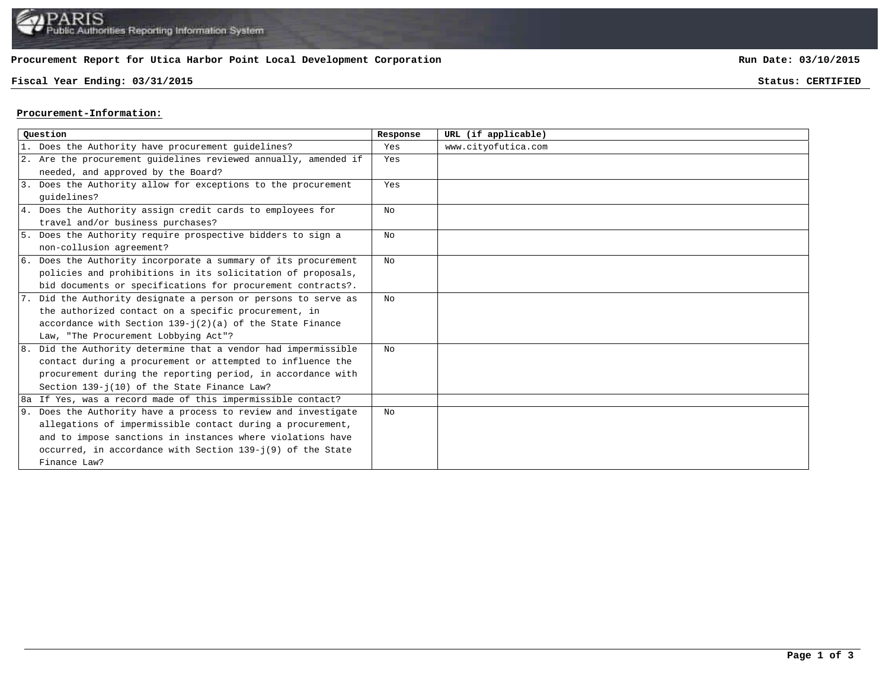

## **Procurement Report for Utica Harbor Point Local Development Corporation**

## **Fiscal Year Ending: 03/31/2015 Status: CERTIFIED**

**Run Date: 03/10/2015**

## **Procurement-Information:**

| Ouestion |                                                                 | Response | URL (if applicable) |
|----------|-----------------------------------------------------------------|----------|---------------------|
|          | 1. Does the Authority have procurement guidelines?              | Yes      | www.cityofutica.com |
|          | 2. Are the procurement guidelines reviewed annually, amended if | Yes      |                     |
|          | needed, and approved by the Board?                              |          |                     |
|          | 3. Does the Authority allow for exceptions to the procurement   | Yes      |                     |
|          | quidelines?                                                     |          |                     |
|          | 4. Does the Authority assign credit cards to employees for      | No.      |                     |
|          | travel and/or business purchases?                               |          |                     |
|          | 5. Does the Authority require prospective bidders to sign a     | No       |                     |
|          | non-collusion agreement?                                        |          |                     |
|          | 6. Does the Authority incorporate a summary of its procurement  | No.      |                     |
|          | policies and prohibitions in its solicitation of proposals,     |          |                     |
|          | bid documents or specifications for procurement contracts?.     |          |                     |
|          | 7. Did the Authority designate a person or persons to serve as  | No       |                     |
|          | the authorized contact on a specific procurement, in            |          |                     |
|          | accordance with Section $139 - i(2)(a)$ of the State Finance    |          |                     |
|          | Law, "The Procurement Lobbying Act"?                            |          |                     |
|          | 8. Did the Authority determine that a vendor had impermissible  | No       |                     |
|          | contact during a procurement or attempted to influence the      |          |                     |
|          | procurement during the reporting period, in accordance with     |          |                     |
|          | Section 139-j(10) of the State Finance Law?                     |          |                     |
|          | 8a If Yes, was a record made of this impermissible contact?     |          |                     |
|          | 9. Does the Authority have a process to review and investigate  | No       |                     |
|          | allegations of impermissible contact during a procurement,      |          |                     |
|          | and to impose sanctions in instances where violations have      |          |                     |
|          | occurred, in accordance with Section $139 - j(9)$ of the State  |          |                     |
|          | Finance Law?                                                    |          |                     |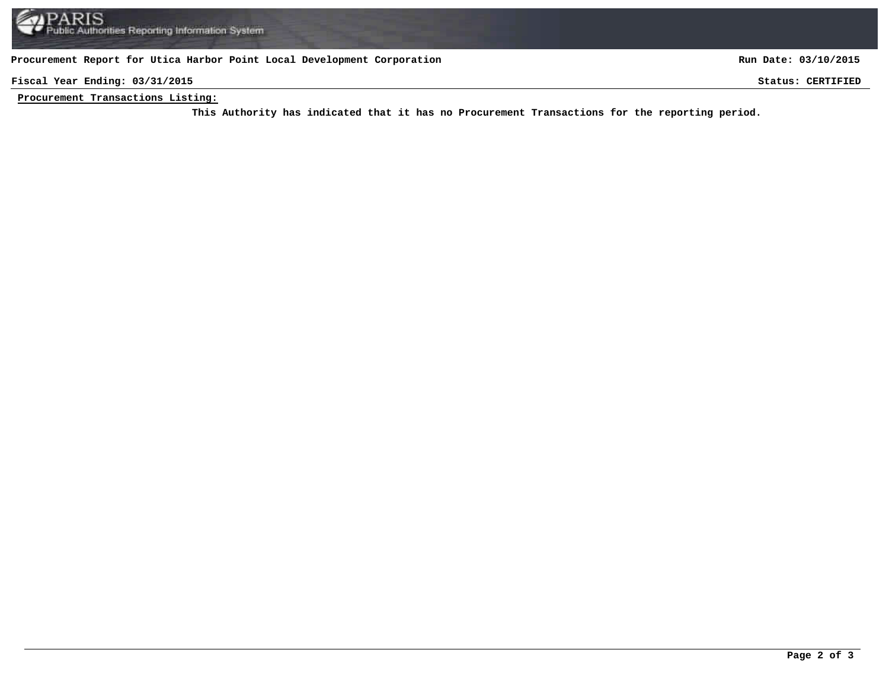## **Procurement Report for Utica Harbor Point Local Development Corporation**

**Run Date: 03/10/2015**

**Fiscal Year Ending: 03/31/2015 Status: CERTIFIED**

**Procurement Transactions Listing:**

This Authority has indicated that it has no Procurement Transactions for the reporting period.